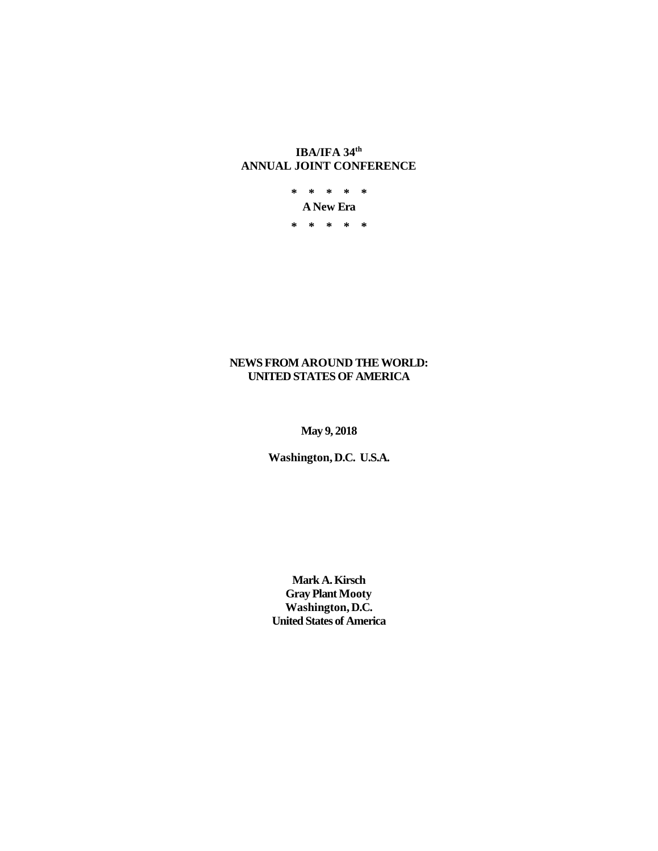# **IBA/IFA 34th ANNUAL JOINT CONFERENCE**

**\* \* \* \* \* A New Era \* \* \* \* \***

# **NEWS FROM AROUND THE WORLD: UNITED STATES OF AMERICA**

**May 9, 2018**

**Washington, D.C. U.S.A.**

**Mark A. Kirsch Gray Plant Mooty Washington, D.C. United States of America**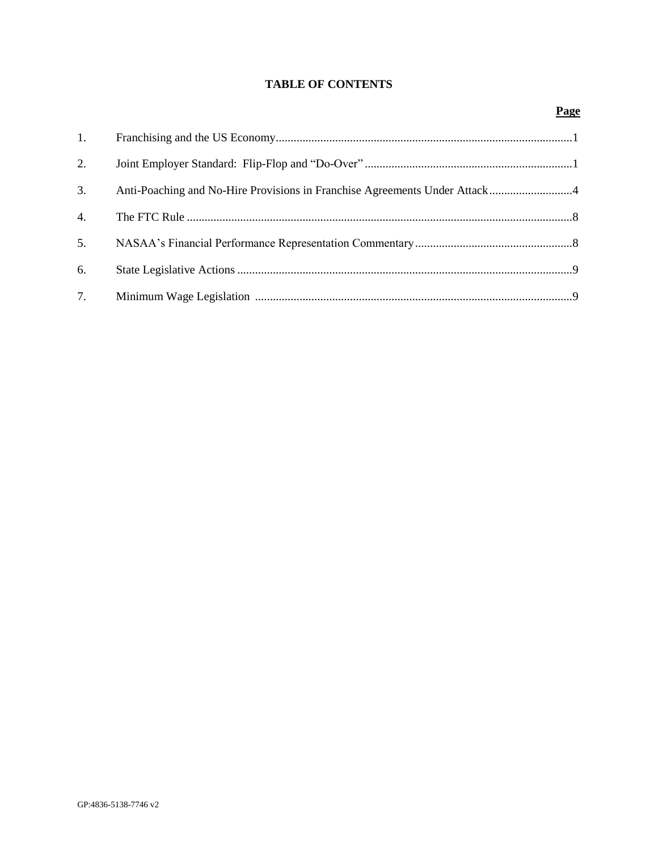# **TABLE OF CONTENTS**

| 1. |  |
|----|--|
| 2. |  |
| 3. |  |
| 4. |  |
| 5. |  |
| 6. |  |
| 7. |  |

## **Page**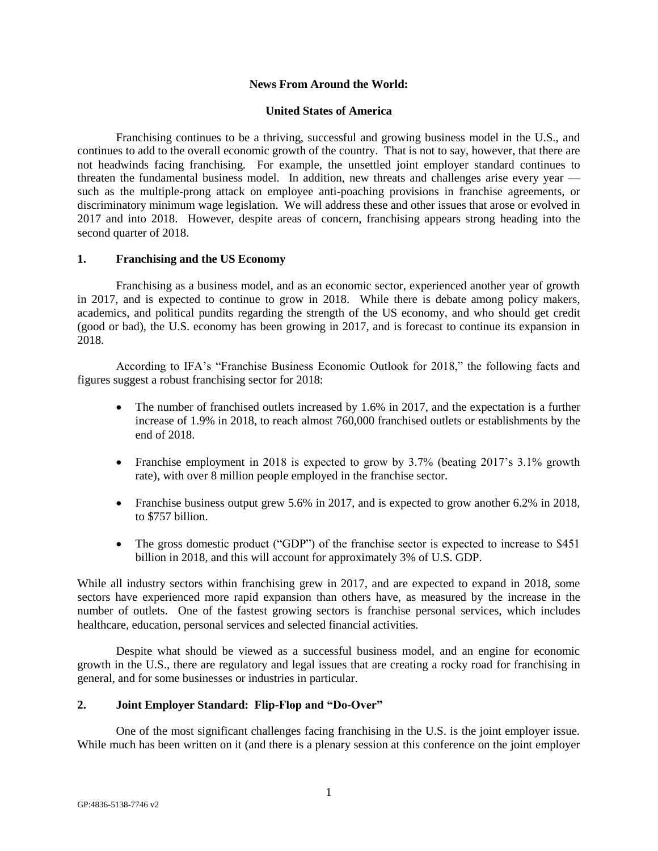#### **News From Around the World:**

#### **United States of America**

Franchising continues to be a thriving, successful and growing business model in the U.S., and continues to add to the overall economic growth of the country. That is not to say, however, that there are not headwinds facing franchising. For example, the unsettled joint employer standard continues to threaten the fundamental business model. In addition, new threats and challenges arise every year such as the multiple-prong attack on employee anti-poaching provisions in franchise agreements, or discriminatory minimum wage legislation. We will address these and other issues that arose or evolved in 2017 and into 2018. However, despite areas of concern, franchising appears strong heading into the second quarter of 2018.

#### **1. Franchising and the US Economy**

Franchising as a business model, and as an economic sector, experienced another year of growth in 2017, and is expected to continue to grow in 2018. While there is debate among policy makers, academics, and political pundits regarding the strength of the US economy, and who should get credit (good or bad), the U.S. economy has been growing in 2017, and is forecast to continue its expansion in 2018.

According to IFA's "Franchise Business Economic Outlook for 2018," the following facts and figures suggest a robust franchising sector for 2018:

- The number of franchised outlets increased by 1.6% in 2017, and the expectation is a further increase of 1.9% in 2018, to reach almost 760,000 franchised outlets or establishments by the end of 2018.
- Franchise employment in 2018 is expected to grow by 3.7% (beating 2017's 3.1% growth rate), with over 8 million people employed in the franchise sector.
- Franchise business output grew 5.6% in 2017, and is expected to grow another 6.2% in 2018, to \$757 billion.
- The gross domestic product ("GDP") of the franchise sector is expected to increase to \$451 billion in 2018, and this will account for approximately 3% of U.S. GDP.

While all industry sectors within franchising grew in 2017, and are expected to expand in 2018, some sectors have experienced more rapid expansion than others have, as measured by the increase in the number of outlets. One of the fastest growing sectors is franchise personal services, which includes healthcare, education, personal services and selected financial activities.

Despite what should be viewed as a successful business model, and an engine for economic growth in the U.S., there are regulatory and legal issues that are creating a rocky road for franchising in general, and for some businesses or industries in particular.

### **2. Joint Employer Standard: Flip-Flop and "Do-Over"**

One of the most significant challenges facing franchising in the U.S. is the joint employer issue. While much has been written on it (and there is a plenary session at this conference on the joint employer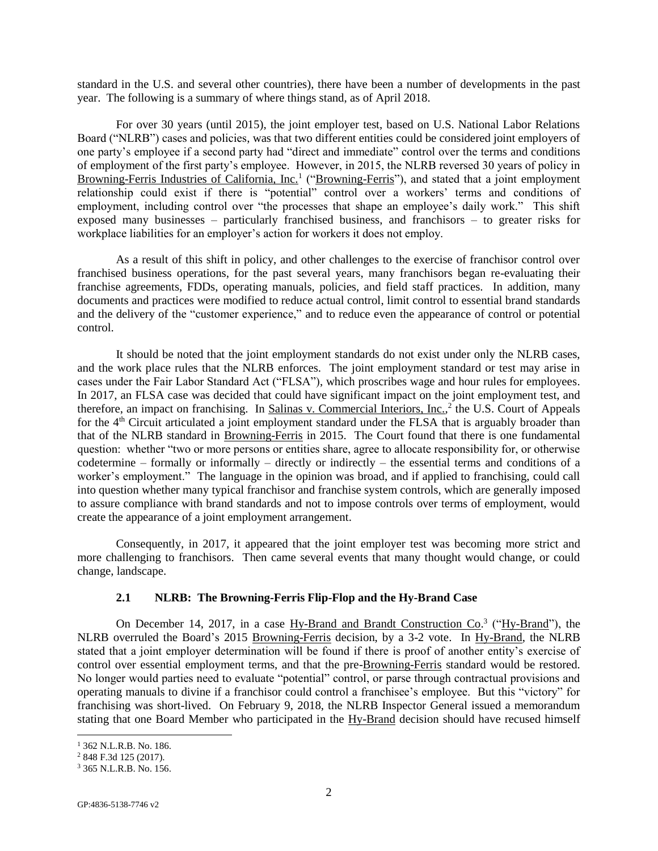standard in the U.S. and several other countries), there have been a number of developments in the past year. The following is a summary of where things stand, as of April 2018.

For over 30 years (until 2015), the joint employer test, based on U.S. National Labor Relations Board ("NLRB") cases and policies, was that two different entities could be considered joint employers of one party's employee if a second party had "direct and immediate" control over the terms and conditions of employment of the first party's employee. However, in 2015, the NLRB reversed 30 years of policy in Browning-Ferris Industries of California, Inc.<sup>1</sup> ("Browning-Ferris"), and stated that a joint employment relationship could exist if there is "potential" control over a workers' terms and conditions of employment, including control over "the processes that shape an employee's daily work." This shift exposed many businesses – particularly franchised business, and franchisors – to greater risks for workplace liabilities for an employer's action for workers it does not employ.

As a result of this shift in policy, and other challenges to the exercise of franchisor control over franchised business operations, for the past several years, many franchisors began re-evaluating their franchise agreements, FDDs, operating manuals, policies, and field staff practices. In addition, many documents and practices were modified to reduce actual control, limit control to essential brand standards and the delivery of the "customer experience," and to reduce even the appearance of control or potential control.

It should be noted that the joint employment standards do not exist under only the NLRB cases, and the work place rules that the NLRB enforces. The joint employment standard or test may arise in cases under the Fair Labor Standard Act ("FLSA"), which proscribes wage and hour rules for employees. In 2017, an FLSA case was decided that could have significant impact on the joint employment test, and therefore, an impact on franchising. In Salinas v. Commercial Interiors, Inc.,<sup>2</sup> the U.S. Court of Appeals for the 4<sup>th</sup> Circuit articulated a joint employment standard under the FLSA that is arguably broader than that of the NLRB standard in Browning-Ferris in 2015. The Court found that there is one fundamental question: whether "two or more persons or entities share, agree to allocate responsibility for, or otherwise codetermine – formally or informally – directly or indirectly – the essential terms and conditions of a worker's employment." The language in the opinion was broad, and if applied to franchising, could call into question whether many typical franchisor and franchise system controls, which are generally imposed to assure compliance with brand standards and not to impose controls over terms of employment, would create the appearance of a joint employment arrangement.

Consequently, in 2017, it appeared that the joint employer test was becoming more strict and more challenging to franchisors. Then came several events that many thought would change, or could change, landscape.

## **2.1 NLRB: The Browning-Ferris Flip-Flop and the Hy-Brand Case**

On December 14, 2017, in a case Hy-Brand and Brandt Construction Co.<sup>3</sup> ("Hy-Brand"), the NLRB overruled the Board's 2015 Browning-Ferris decision, by a 3-2 vote. In Hy-Brand, the NLRB stated that a joint employer determination will be found if there is proof of another entity's exercise of control over essential employment terms, and that the pre-Browning-Ferris standard would be restored. No longer would parties need to evaluate "potential" control, or parse through contractual provisions and operating manuals to divine if a franchisor could control a franchisee's employee. But this "victory" for franchising was short-lived. On February 9, 2018, the NLRB Inspector General issued a memorandum stating that one Board Member who participated in the Hy-Brand decision should have recused himself

l

<sup>1</sup> 362 N.L.R.B. No. 186.

<sup>2</sup> 848 F.3d 125 (2017).

<sup>3</sup> 365 N.L.R.B. No. 156.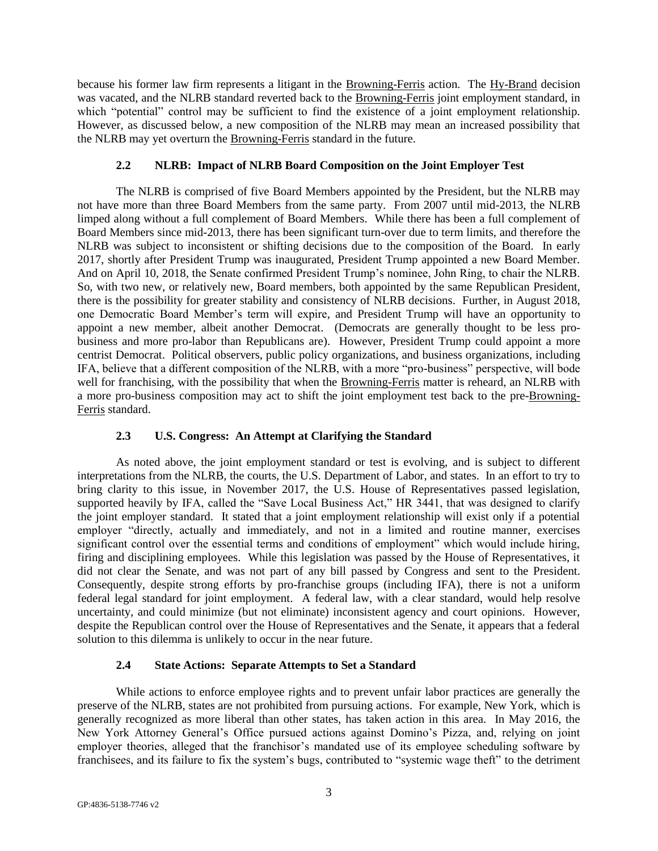because his former law firm represents a litigant in the Browning-Ferris action. The Hy-Brand decision was vacated, and the NLRB standard reverted back to the Browning-Ferris joint employment standard, in which "potential" control may be sufficient to find the existence of a joint employment relationship. However, as discussed below, a new composition of the NLRB may mean an increased possibility that the NLRB may yet overturn the Browning-Ferris standard in the future.

## **2.2 NLRB: Impact of NLRB Board Composition on the Joint Employer Test**

The NLRB is comprised of five Board Members appointed by the President, but the NLRB may not have more than three Board Members from the same party. From 2007 until mid-2013, the NLRB limped along without a full complement of Board Members. While there has been a full complement of Board Members since mid-2013, there has been significant turn-over due to term limits, and therefore the NLRB was subject to inconsistent or shifting decisions due to the composition of the Board. In early 2017, shortly after President Trump was inaugurated, President Trump appointed a new Board Member. And on April 10, 2018, the Senate confirmed President Trump's nominee, John Ring, to chair the NLRB. So, with two new, or relatively new, Board members, both appointed by the same Republican President, there is the possibility for greater stability and consistency of NLRB decisions. Further, in August 2018, one Democratic Board Member's term will expire, and President Trump will have an opportunity to appoint a new member, albeit another Democrat. (Democrats are generally thought to be less probusiness and more pro-labor than Republicans are). However, President Trump could appoint a more centrist Democrat. Political observers, public policy organizations, and business organizations, including IFA, believe that a different composition of the NLRB, with a more "pro-business" perspective, will bode well for franchising, with the possibility that when the Browning-Ferris matter is reheard, an NLRB with a more pro-business composition may act to shift the joint employment test back to the pre-Browning-Ferris standard.

#### **2.3 U.S. Congress: An Attempt at Clarifying the Standard**

As noted above, the joint employment standard or test is evolving, and is subject to different interpretations from the NLRB, the courts, the U.S. Department of Labor, and states. In an effort to try to bring clarity to this issue, in November 2017, the U.S. House of Representatives passed legislation, supported heavily by IFA, called the "Save Local Business Act," HR 3441, that was designed to clarify the joint employer standard. It stated that a joint employment relationship will exist only if a potential employer "directly, actually and immediately, and not in a limited and routine manner, exercises significant control over the essential terms and conditions of employment" which would include hiring, firing and disciplining employees. While this legislation was passed by the House of Representatives, it did not clear the Senate, and was not part of any bill passed by Congress and sent to the President. Consequently, despite strong efforts by pro-franchise groups (including IFA), there is not a uniform federal legal standard for joint employment. A federal law, with a clear standard, would help resolve uncertainty, and could minimize (but not eliminate) inconsistent agency and court opinions. However, despite the Republican control over the House of Representatives and the Senate, it appears that a federal solution to this dilemma is unlikely to occur in the near future.

### **2.4 State Actions: Separate Attempts to Set a Standard**

While actions to enforce employee rights and to prevent unfair labor practices are generally the preserve of the NLRB, states are not prohibited from pursuing actions. For example, New York, which is generally recognized as more liberal than other states, has taken action in this area. In May 2016, the New York Attorney General's Office pursued actions against Domino's Pizza, and, relying on joint employer theories, alleged that the franchisor's mandated use of its employee scheduling software by franchisees, and its failure to fix the system's bugs, contributed to "systemic wage theft" to the detriment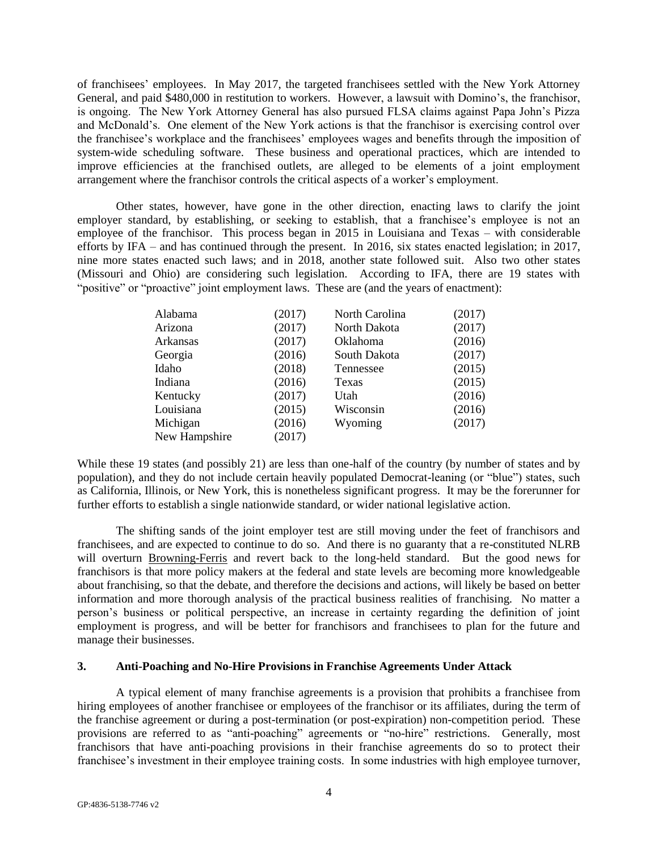of franchisees' employees. In May 2017, the targeted franchisees settled with the New York Attorney General, and paid \$480,000 in restitution to workers. However, a lawsuit with Domino's, the franchisor, is ongoing. The New York Attorney General has also pursued FLSA claims against Papa John's Pizza and McDonald's. One element of the New York actions is that the franchisor is exercising control over the franchisee's workplace and the franchisees' employees wages and benefits through the imposition of system-wide scheduling software. These business and operational practices, which are intended to improve efficiencies at the franchised outlets, are alleged to be elements of a joint employment arrangement where the franchisor controls the critical aspects of a worker's employment.

Other states, however, have gone in the other direction, enacting laws to clarify the joint employer standard, by establishing, or seeking to establish, that a franchisee's employee is not an employee of the franchisor. This process began in 2015 in Louisiana and Texas – with considerable efforts by IFA – and has continued through the present. In 2016, six states enacted legislation; in 2017, nine more states enacted such laws; and in 2018, another state followed suit. Also two other states (Missouri and Ohio) are considering such legislation. According to IFA, there are 19 states with "positive" or "proactive" joint employment laws. These are (and the years of enactment):

| Alabama       | (2017) | North Carolina  | (2017) |
|---------------|--------|-----------------|--------|
| Arizona       | (2017) | North Dakota    | (2017) |
| Arkansas      | (2017) | <b>Oklahoma</b> | (2016) |
| Georgia       | (2016) | South Dakota    | (2017) |
| Idaho         | (2018) | Tennessee       | (2015) |
| Indiana       | (2016) | Texas           | (2015) |
| Kentucky      | (2017) | Utah            | (2016) |
| Louisiana     | (2015) | Wisconsin       | (2016) |
| Michigan      | (2016) | Wyoming         | (2017) |
| New Hampshire | (2017) |                 |        |

While these 19 states (and possibly 21) are less than one-half of the country (by number of states and by population), and they do not include certain heavily populated Democrat-leaning (or "blue") states, such as California, Illinois, or New York, this is nonetheless significant progress. It may be the forerunner for further efforts to establish a single nationwide standard, or wider national legislative action.

The shifting sands of the joint employer test are still moving under the feet of franchisors and franchisees, and are expected to continue to do so. And there is no guaranty that a re-constituted NLRB will overturn Browning-Ferris and revert back to the long-held standard. But the good news for franchisors is that more policy makers at the federal and state levels are becoming more knowledgeable about franchising, so that the debate, and therefore the decisions and actions, will likely be based on better information and more thorough analysis of the practical business realities of franchising. No matter a person's business or political perspective, an increase in certainty regarding the definition of joint employment is progress, and will be better for franchisors and franchisees to plan for the future and manage their businesses.

## **3. Anti-Poaching and No-Hire Provisions in Franchise Agreements Under Attack**

A typical element of many franchise agreements is a provision that prohibits a franchisee from hiring employees of another franchisee or employees of the franchisor or its affiliates, during the term of the franchise agreement or during a post-termination (or post-expiration) non-competition period. These provisions are referred to as "anti-poaching" agreements or "no-hire" restrictions. Generally, most franchisors that have anti-poaching provisions in their franchise agreements do so to protect their franchisee's investment in their employee training costs. In some industries with high employee turnover,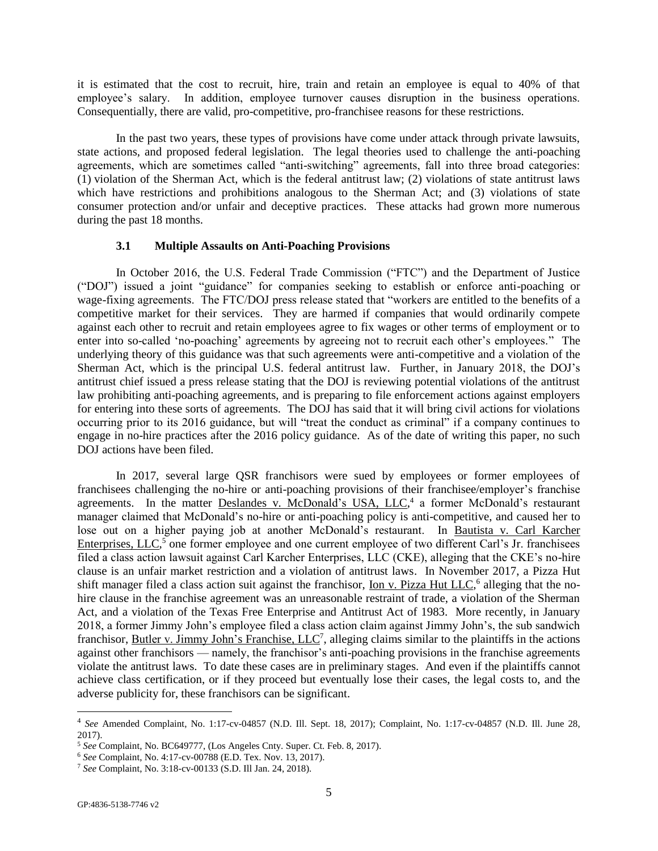it is estimated that the cost to recruit, hire, train and retain an employee is equal to 40% of that employee's salary. In addition, employee turnover causes disruption in the business operations. Consequentially, there are valid, pro-competitive, pro-franchisee reasons for these restrictions.

In the past two years, these types of provisions have come under attack through private lawsuits, state actions, and proposed federal legislation. The legal theories used to challenge the anti-poaching agreements, which are sometimes called "anti-switching" agreements, fall into three broad categories: (1) violation of the Sherman Act, which is the federal antitrust law; (2) violations of state antitrust laws which have restrictions and prohibitions analogous to the Sherman Act; and (3) violations of state consumer protection and/or unfair and deceptive practices. These attacks had grown more numerous during the past 18 months.

#### **3.1 Multiple Assaults on Anti-Poaching Provisions**

In October 2016, the U.S. Federal Trade Commission ("FTC") and the Department of Justice ("DOJ") issued a joint "guidance" for companies seeking to establish or enforce anti-poaching or wage-fixing agreements. The FTC/DOJ press release stated that "workers are entitled to the benefits of a competitive market for their services. They are harmed if companies that would ordinarily compete against each other to recruit and retain employees agree to fix wages or other terms of employment or to enter into so-called 'no-poaching' agreements by agreeing not to recruit each other's employees." The underlying theory of this guidance was that such agreements were anti-competitive and a violation of the Sherman Act, which is the principal U.S. federal antitrust law. Further, in January 2018, the DOJ's antitrust chief issued a press release stating that the DOJ is reviewing potential violations of the antitrust law prohibiting anti-poaching agreements, and is preparing to file enforcement actions against employers for entering into these sorts of agreements. The DOJ has said that it will bring civil actions for violations occurring prior to its 2016 guidance, but will "treat the conduct as criminal" if a company continues to engage in no-hire practices after the 2016 policy guidance. As of the date of writing this paper, no such DOJ actions have been filed.

In 2017, several large QSR franchisors were sued by employees or former employees of franchisees challenging the no-hire or anti-poaching provisions of their franchisee/employer's franchise agreements. In the matter Deslandes v. McDonald's USA, LLC,<sup>4</sup> a former McDonald's restaurant manager claimed that McDonald's no-hire or anti-poaching policy is anti-competitive, and caused her to lose out on a higher paying job at another McDonald's restaurant. In Bautista v. Carl Karcher Enterprises, LLC<sup>5</sup> one former employee and one current employee of two different Carl's Jr. franchisees filed a class action lawsuit against Carl Karcher Enterprises, LLC (CKE), alleging that the CKE's no-hire clause is an unfair market restriction and a violation of antitrust laws. In November 2017, a Pizza Hut shift manager filed a class action suit against the franchisor, *Ion v. Pizza Hut LLC*,<sup>6</sup> alleging that the nohire clause in the franchise agreement was an unreasonable restraint of trade, a violation of the Sherman Act, and a violation of the Texas Free Enterprise and Antitrust Act of 1983. More recently, in January 2018, a former Jimmy John's employee filed a class action claim against Jimmy John's, the sub sandwich franchisor, Butler v. Jimmy John's Franchise, LLC<sup>7</sup>, alleging claims similar to the plaintiffs in the actions against other franchisors — namely, the franchisor's anti-poaching provisions in the franchise agreements violate the antitrust laws. To date these cases are in preliminary stages. And even if the plaintiffs cannot achieve class certification, or if they proceed but eventually lose their cases, the legal costs to, and the adverse publicity for, these franchisors can be significant.

l

<sup>4</sup> *See* Amended Complaint, No. 1:17-cv-04857 (N.D. Ill. Sept. 18, 2017); Complaint, No. 1:17-cv-04857 (N.D. Ill. June 28, 2017).

<sup>5</sup> *See* Complaint, No. BC649777, (Los Angeles Cnty. Super. Ct. Feb. 8, 2017).

<sup>6</sup> *See* Complaint, No. 4:17-cv-00788 (E.D. Tex. Nov. 13, 2017).

<sup>7</sup> *See* Complaint, No. 3:18-cv-00133 (S.D. Ill Jan. 24, 2018).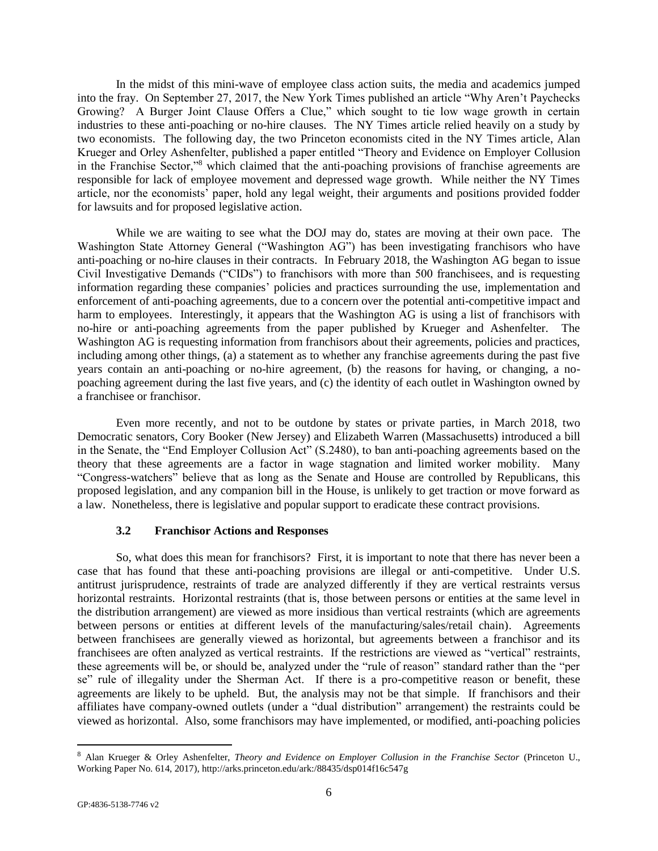In the midst of this mini-wave of employee class action suits, the media and academics jumped into the fray. On September 27, 2017, the New York Times published an article "Why Aren't Paychecks Growing? A Burger Joint Clause Offers a Clue," which sought to tie low wage growth in certain industries to these anti-poaching or no-hire clauses. The NY Times article relied heavily on a study by two economists. The following day, the two Princeton economists cited in the NY Times article, Alan Krueger and Orley Ashenfelter, published a paper entitled "Theory and Evidence on Employer Collusion in the Franchise Sector,"<sup>8</sup> which claimed that the anti-poaching provisions of franchise agreements are responsible for lack of employee movement and depressed wage growth. While neither the NY Times article, nor the economists' paper, hold any legal weight, their arguments and positions provided fodder for lawsuits and for proposed legislative action.

While we are waiting to see what the DOJ may do, states are moving at their own pace. The Washington State Attorney General ("Washington AG") has been investigating franchisors who have anti-poaching or no-hire clauses in their contracts. In February 2018, the Washington AG began to issue Civil Investigative Demands ("CIDs") to franchisors with more than 500 franchisees, and is requesting information regarding these companies' policies and practices surrounding the use, implementation and enforcement of anti-poaching agreements, due to a concern over the potential anti-competitive impact and harm to employees. Interestingly, it appears that the Washington AG is using a list of franchisors with no-hire or anti-poaching agreements from the paper published by Krueger and Ashenfelter. The Washington AG is requesting information from franchisors about their agreements, policies and practices, including among other things, (a) a statement as to whether any franchise agreements during the past five years contain an anti-poaching or no-hire agreement, (b) the reasons for having, or changing, a nopoaching agreement during the last five years, and (c) the identity of each outlet in Washington owned by a franchisee or franchisor.

Even more recently, and not to be outdone by states or private parties, in March 2018, two Democratic senators, Cory Booker (New Jersey) and Elizabeth Warren (Massachusetts) introduced a bill in the Senate, the "End Employer Collusion Act" (S.2480), to ban anti-poaching agreements based on the theory that these agreements are a factor in wage stagnation and limited worker mobility. Many "Congress-watchers" believe that as long as the Senate and House are controlled by Republicans, this proposed legislation, and any companion bill in the House, is unlikely to get traction or move forward as a law. Nonetheless, there is legislative and popular support to eradicate these contract provisions.

### **3.2 Franchisor Actions and Responses**

So, what does this mean for franchisors? First, it is important to note that there has never been a case that has found that these anti-poaching provisions are illegal or anti-competitive. Under U.S. antitrust jurisprudence, restraints of trade are analyzed differently if they are vertical restraints versus horizontal restraints. Horizontal restraints (that is, those between persons or entities at the same level in the distribution arrangement) are viewed as more insidious than vertical restraints (which are agreements between persons or entities at different levels of the manufacturing/sales/retail chain). Agreements between franchisees are generally viewed as horizontal, but agreements between a franchisor and its franchisees are often analyzed as vertical restraints. If the restrictions are viewed as "vertical" restraints, these agreements will be, or should be, analyzed under the "rule of reason" standard rather than the "per se" rule of illegality under the Sherman Act. If there is a pro-competitive reason or benefit, these agreements are likely to be upheld. But, the analysis may not be that simple. If franchisors and their affiliates have company-owned outlets (under a "dual distribution" arrangement) the restraints could be viewed as horizontal. Also, some franchisors may have implemented, or modified, anti-poaching policies

 $\overline{a}$ 

<sup>8</sup> Alan Krueger & Orley Ashenfelter, *Theory and Evidence on Employer Collusion in the Franchise Sector* (Princeton U., Working Paper No. 614, 2017), http://arks.princeton.edu/ark:/88435/dsp014f16c547g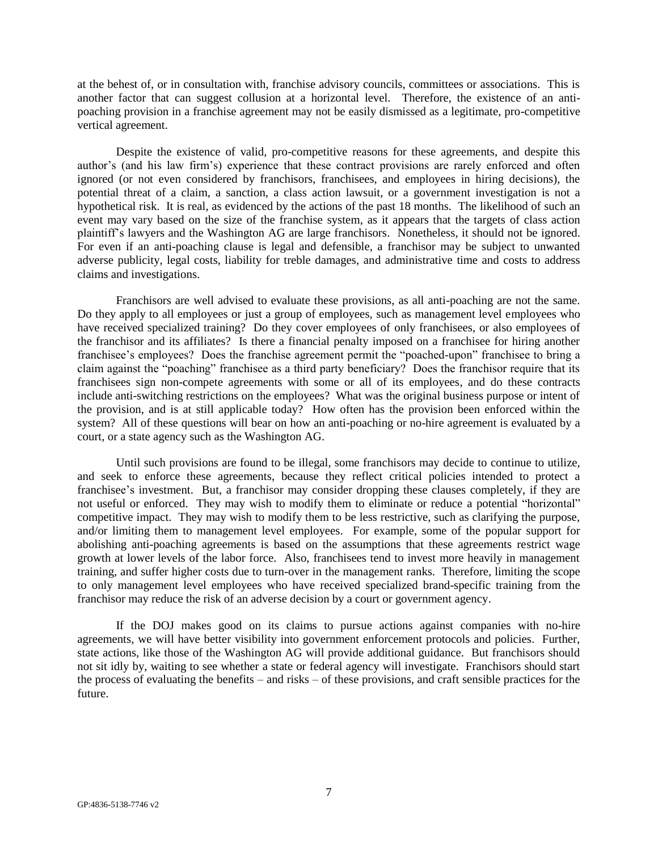at the behest of, or in consultation with, franchise advisory councils, committees or associations. This is another factor that can suggest collusion at a horizontal level. Therefore, the existence of an antipoaching provision in a franchise agreement may not be easily dismissed as a legitimate, pro-competitive vertical agreement.

Despite the existence of valid, pro-competitive reasons for these agreements, and despite this author's (and his law firm's) experience that these contract provisions are rarely enforced and often ignored (or not even considered by franchisors, franchisees, and employees in hiring decisions), the potential threat of a claim, a sanction, a class action lawsuit, or a government investigation is not a hypothetical risk. It is real, as evidenced by the actions of the past 18 months. The likelihood of such an event may vary based on the size of the franchise system, as it appears that the targets of class action plaintiff's lawyers and the Washington AG are large franchisors. Nonetheless, it should not be ignored. For even if an anti-poaching clause is legal and defensible, a franchisor may be subject to unwanted adverse publicity, legal costs, liability for treble damages, and administrative time and costs to address claims and investigations.

Franchisors are well advised to evaluate these provisions, as all anti-poaching are not the same. Do they apply to all employees or just a group of employees, such as management level employees who have received specialized training? Do they cover employees of only franchisees, or also employees of the franchisor and its affiliates? Is there a financial penalty imposed on a franchisee for hiring another franchisee's employees? Does the franchise agreement permit the "poached-upon" franchisee to bring a claim against the "poaching" franchisee as a third party beneficiary? Does the franchisor require that its franchisees sign non-compete agreements with some or all of its employees, and do these contracts include anti-switching restrictions on the employees? What was the original business purpose or intent of the provision, and is at still applicable today? How often has the provision been enforced within the system? All of these questions will bear on how an anti-poaching or no-hire agreement is evaluated by a court, or a state agency such as the Washington AG.

Until such provisions are found to be illegal, some franchisors may decide to continue to utilize, and seek to enforce these agreements, because they reflect critical policies intended to protect a franchisee's investment. But, a franchisor may consider dropping these clauses completely, if they are not useful or enforced. They may wish to modify them to eliminate or reduce a potential "horizontal" competitive impact. They may wish to modify them to be less restrictive, such as clarifying the purpose, and/or limiting them to management level employees. For example, some of the popular support for abolishing anti-poaching agreements is based on the assumptions that these agreements restrict wage growth at lower levels of the labor force. Also, franchisees tend to invest more heavily in management training, and suffer higher costs due to turn-over in the management ranks. Therefore, limiting the scope to only management level employees who have received specialized brand-specific training from the franchisor may reduce the risk of an adverse decision by a court or government agency.

If the DOJ makes good on its claims to pursue actions against companies with no-hire agreements, we will have better visibility into government enforcement protocols and policies. Further, state actions, like those of the Washington AG will provide additional guidance. But franchisors should not sit idly by, waiting to see whether a state or federal agency will investigate. Franchisors should start the process of evaluating the benefits – and risks – of these provisions, and craft sensible practices for the future.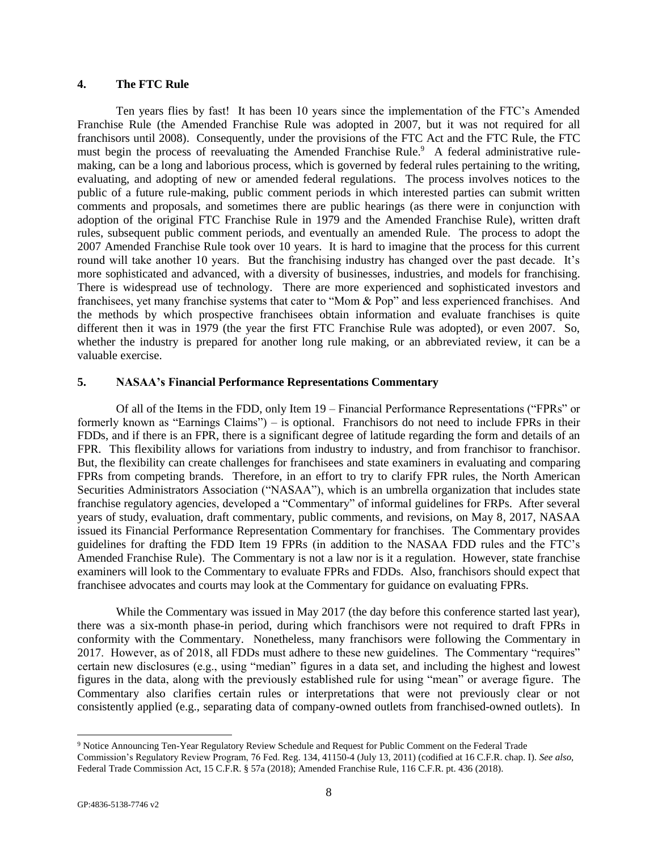### **4. The FTC Rule**

Ten years flies by fast! It has been 10 years since the implementation of the FTC's Amended Franchise Rule (the Amended Franchise Rule was adopted in 2007, but it was not required for all franchisors until 2008). Consequently, under the provisions of the FTC Act and the FTC Rule, the FTC must begin the process of reevaluating the Amended Franchise Rule.<sup>9</sup> A federal administrative rulemaking, can be a long and laborious process, which is governed by federal rules pertaining to the writing, evaluating, and adopting of new or amended federal regulations. The process involves notices to the public of a future rule-making, public comment periods in which interested parties can submit written comments and proposals, and sometimes there are public hearings (as there were in conjunction with adoption of the original FTC Franchise Rule in 1979 and the Amended Franchise Rule), written draft rules, subsequent public comment periods, and eventually an amended Rule. The process to adopt the 2007 Amended Franchise Rule took over 10 years. It is hard to imagine that the process for this current round will take another 10 years. But the franchising industry has changed over the past decade. It's more sophisticated and advanced, with a diversity of businesses, industries, and models for franchising. There is widespread use of technology. There are more experienced and sophisticated investors and franchisees, yet many franchise systems that cater to "Mom & Pop" and less experienced franchises. And the methods by which prospective franchisees obtain information and evaluate franchises is quite different then it was in 1979 (the year the first FTC Franchise Rule was adopted), or even 2007. So, whether the industry is prepared for another long rule making, or an abbreviated review, it can be a valuable exercise.

#### **5. NASAA's Financial Performance Representations Commentary**

Of all of the Items in the FDD, only Item 19 – Financial Performance Representations ("FPRs" or formerly known as "Earnings Claims") – is optional. Franchisors do not need to include FPRs in their FDDs, and if there is an FPR, there is a significant degree of latitude regarding the form and details of an FPR. This flexibility allows for variations from industry to industry, and from franchisor to franchisor. But, the flexibility can create challenges for franchisees and state examiners in evaluating and comparing FPRs from competing brands. Therefore, in an effort to try to clarify FPR rules, the North American Securities Administrators Association ("NASAA"), which is an umbrella organization that includes state franchise regulatory agencies, developed a "Commentary" of informal guidelines for FRPs. After several years of study, evaluation, draft commentary, public comments, and revisions, on May 8, 2017, NASAA issued its Financial Performance Representation Commentary for franchises. The Commentary provides guidelines for drafting the FDD Item 19 FPRs (in addition to the NASAA FDD rules and the FTC's Amended Franchise Rule). The Commentary is not a law nor is it a regulation. However, state franchise examiners will look to the Commentary to evaluate FPRs and FDDs. Also, franchisors should expect that franchisee advocates and courts may look at the Commentary for guidance on evaluating FPRs.

While the Commentary was issued in May 2017 (the day before this conference started last year), there was a six-month phase-in period, during which franchisors were not required to draft FPRs in conformity with the Commentary. Nonetheless, many franchisors were following the Commentary in 2017. However, as of 2018, all FDDs must adhere to these new guidelines. The Commentary "requires" certain new disclosures (e.g., using "median" figures in a data set, and including the highest and lowest figures in the data, along with the previously established rule for using "mean" or average figure. The Commentary also clarifies certain rules or interpretations that were not previously clear or not consistently applied (e.g., separating data of company-owned outlets from franchised-owned outlets). In

l

<sup>9</sup> Notice Announcing Ten-Year Regulatory Review Schedule and Request for Public Comment on the Federal Trade Commission's Regulatory Review Program, 76 Fed. Reg. 134, 41150-4 (July 13, 2011) (codified at 16 C.F.R. chap. I). *See also*, Federal Trade Commission Act, 15 C.F.R. § 57a (2018); Amended Franchise Rule, 116 C.F.R. pt. 436 (2018).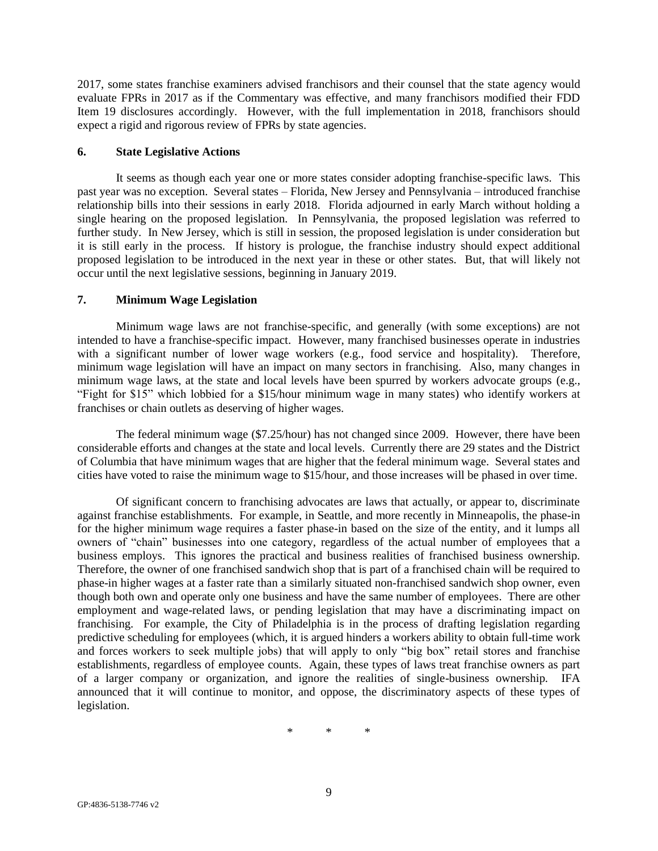2017, some states franchise examiners advised franchisors and their counsel that the state agency would evaluate FPRs in 2017 as if the Commentary was effective, and many franchisors modified their FDD Item 19 disclosures accordingly. However, with the full implementation in 2018, franchisors should expect a rigid and rigorous review of FPRs by state agencies.

#### **6. State Legislative Actions**

It seems as though each year one or more states consider adopting franchise-specific laws. This past year was no exception. Several states – Florida, New Jersey and Pennsylvania – introduced franchise relationship bills into their sessions in early 2018. Florida adjourned in early March without holding a single hearing on the proposed legislation. In Pennsylvania, the proposed legislation was referred to further study. In New Jersey, which is still in session, the proposed legislation is under consideration but it is still early in the process. If history is prologue, the franchise industry should expect additional proposed legislation to be introduced in the next year in these or other states. But, that will likely not occur until the next legislative sessions, beginning in January 2019.

### **7. Minimum Wage Legislation**

Minimum wage laws are not franchise-specific, and generally (with some exceptions) are not intended to have a franchise-specific impact. However, many franchised businesses operate in industries with a significant number of lower wage workers (e.g., food service and hospitality). Therefore, minimum wage legislation will have an impact on many sectors in franchising. Also, many changes in minimum wage laws, at the state and local levels have been spurred by workers advocate groups (e.g., "Fight for \$15" which lobbied for a \$15/hour minimum wage in many states) who identify workers at franchises or chain outlets as deserving of higher wages.

The federal minimum wage (\$7.25/hour) has not changed since 2009. However, there have been considerable efforts and changes at the state and local levels. Currently there are 29 states and the District of Columbia that have minimum wages that are higher that the federal minimum wage. Several states and cities have voted to raise the minimum wage to \$15/hour, and those increases will be phased in over time.

Of significant concern to franchising advocates are laws that actually, or appear to, discriminate against franchise establishments. For example, in Seattle, and more recently in Minneapolis, the phase-in for the higher minimum wage requires a faster phase-in based on the size of the entity, and it lumps all owners of "chain" businesses into one category, regardless of the actual number of employees that a business employs. This ignores the practical and business realities of franchised business ownership. Therefore, the owner of one franchised sandwich shop that is part of a franchised chain will be required to phase-in higher wages at a faster rate than a similarly situated non-franchised sandwich shop owner, even though both own and operate only one business and have the same number of employees. There are other employment and wage-related laws, or pending legislation that may have a discriminating impact on franchising. For example, the City of Philadelphia is in the process of drafting legislation regarding predictive scheduling for employees (which, it is argued hinders a workers ability to obtain full-time work and forces workers to seek multiple jobs) that will apply to only "big box" retail stores and franchise establishments, regardless of employee counts. Again, these types of laws treat franchise owners as part of a larger company or organization, and ignore the realities of single-business ownership. IFA announced that it will continue to monitor, and oppose, the discriminatory aspects of these types of legislation.

\* \* \*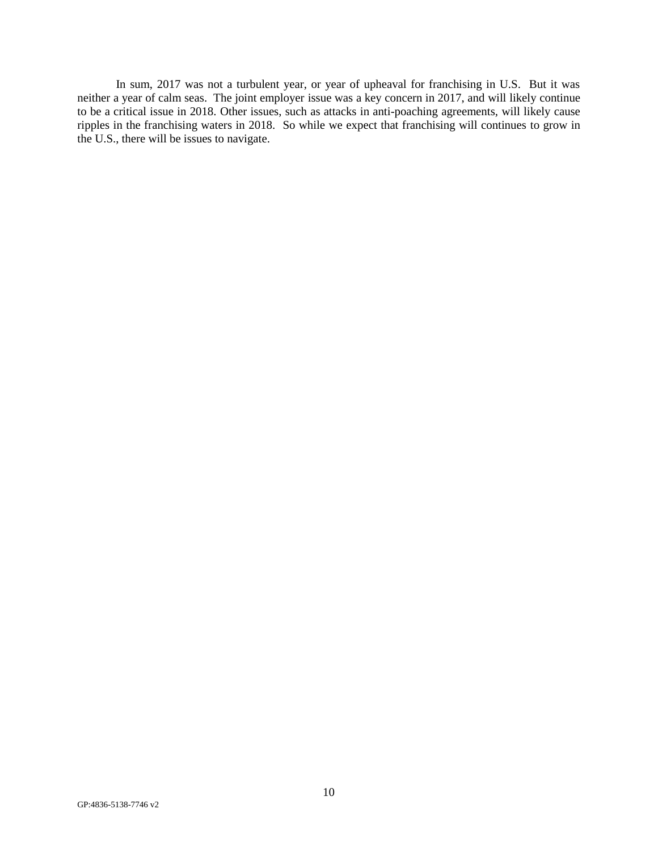In sum, 2017 was not a turbulent year, or year of upheaval for franchising in U.S. But it was neither a year of calm seas. The joint employer issue was a key concern in 2017, and will likely continue to be a critical issue in 2018. Other issues, such as attacks in anti-poaching agreements, will likely cause ripples in the franchising waters in 2018. So while we expect that franchising will continues to grow in the U.S., there will be issues to navigate.